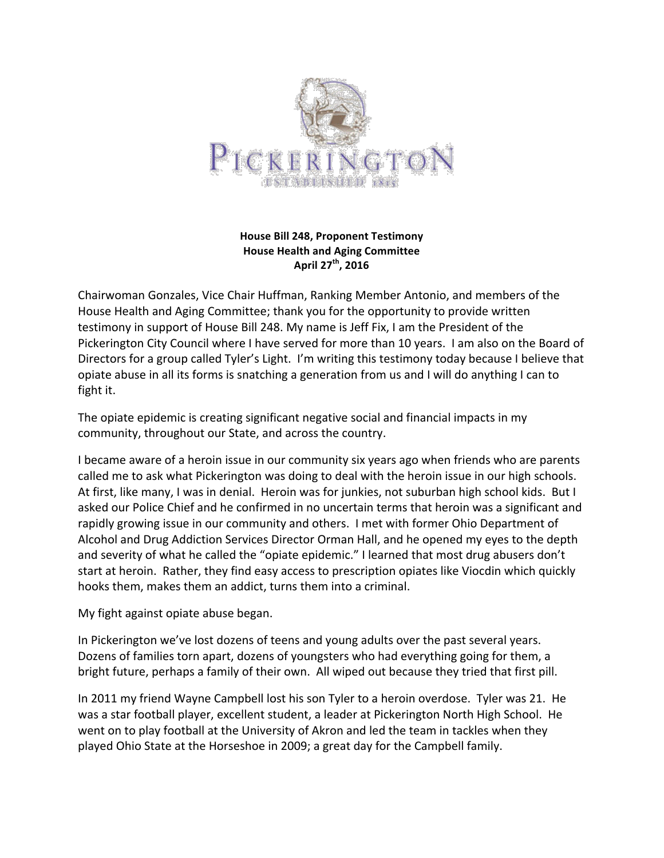

## **House Bill 248, Proponent Testimony House Health and Aging Committee April 27th, 2016**

Chairwoman Gonzales, Vice Chair Huffman, Ranking Member Antonio, and members of the House Health and Aging Committee; thank you for the opportunity to provide written testimony in support of House Bill 248. My name is Jeff Fix, I am the President of the Pickerington City Council where I have served for more than 10 years. I am also on the Board of Directors for a group called Tyler's Light. I'm writing this testimony today because I believe that opiate abuse in all its forms is snatching a generation from us and I will do anything I can to fight it.

The opiate epidemic is creating significant negative social and financial impacts in my community, throughout our State, and across the country.

I became aware of a heroin issue in our community six years ago when friends who are parents called me to ask what Pickerington was doing to deal with the heroin issue in our high schools. At first, like many, I was in denial. Heroin was for junkies, not suburban high school kids. But I asked our Police Chief and he confirmed in no uncertain terms that heroin was a significant and rapidly growing issue in our community and others. I met with former Ohio Department of Alcohol and Drug Addiction Services Director Orman Hall, and he opened my eyes to the depth and severity of what he called the "opiate epidemic." I learned that most drug abusers don't start at heroin. Rather, they find easy access to prescription opiates like Viocdin which quickly hooks them, makes them an addict, turns them into a criminal.

My fight against opiate abuse began.

In Pickerington we've lost dozens of teens and young adults over the past several years. Dozens of families torn apart, dozens of youngsters who had everything going for them, a bright future, perhaps a family of their own. All wiped out because they tried that first pill.

In 2011 my friend Wayne Campbell lost his son Tyler to a heroin overdose. Tyler was 21. He was a star football player, excellent student, a leader at Pickerington North High School. He went on to play football at the University of Akron and led the team in tackles when they played Ohio State at the Horseshoe in 2009; a great day for the Campbell family.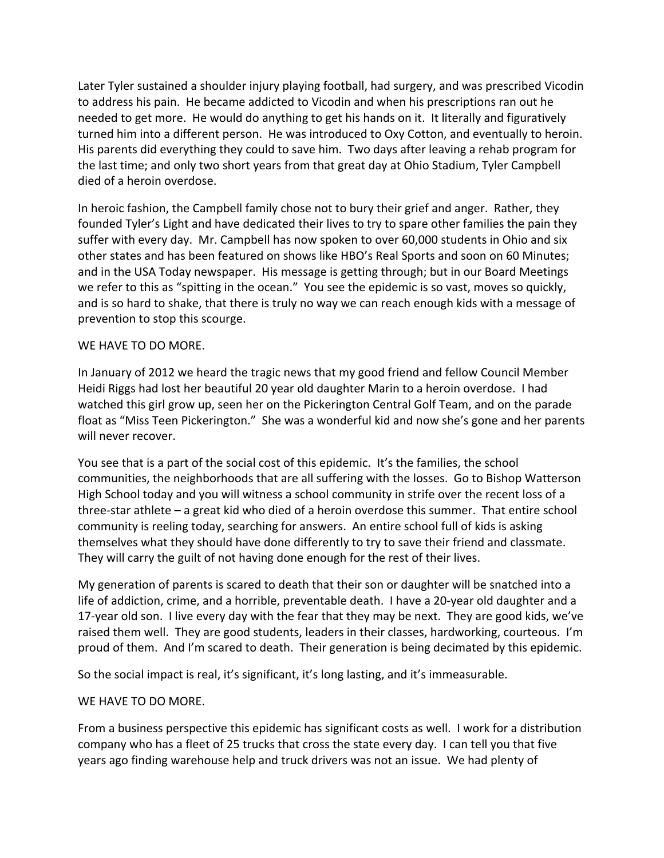Later Tyler sustained a shoulder injury playing football, had surgery, and was prescribed Vicodin to address his pain. He became addicted to Vicodin and when his prescriptions ran out he needed to get more. He would do anything to get his hands on it. It literally and figuratively turned him into a different person. He was introduced to Oxy Cotton, and eventually to heroin. His parents did everything they could to save him. Two days after leaving a rehab program for the last time; and only two short years from that great day at Ohio Stadium, Tyler Campbell died of a heroin overdose.

In heroic fashion, the Campbell family chose not to bury their grief and anger. Rather, they founded Tyler's Light and have dedicated their lives to try to spare other families the pain they suffer with every day. Mr. Campbell has now spoken to over 60,000 students in Ohio and six other states and has been featured on shows like HBO's Real Sports and soon on 60 Minutes; and in the USA Today newspaper. His message is getting through; but in our Board Meetings we refer to this as "spitting in the ocean." You see the epidemic is so vast, moves so quickly, and is so hard to shake, that there is truly no way we can reach enough kids with a message of prevention to stop this scourge.

## WE HAVE TO DO MORE.

In January of 2012 we heard the tragic news that my good friend and fellow Council Member Heidi Riggs had lost her beautiful 20 year old daughter Marin to a heroin overdose. I had watched this girl grow up, seen her on the Pickerington Central Golf Team, and on the parade float as "Miss Teen Pickerington." She was a wonderful kid and now she's gone and her parents will never recover.

You see that is a part of the social cost of this epidemic. It's the families, the school communities, the neighborhoods that are all suffering with the losses. Go to Bishop Watterson High School today and you will witness a school community in strife over the recent loss of a three-star athlete  $-$  a great kid who died of a heroin overdose this summer. That entire school community is reeling today, searching for answers. An entire school full of kids is asking themselves what they should have done differently to try to save their friend and classmate. They will carry the guilt of not having done enough for the rest of their lives.

My generation of parents is scared to death that their son or daughter will be snatched into a life of addiction, crime, and a horrible, preventable death. I have a 20-year old daughter and a 17-year old son. I live every day with the fear that they may be next. They are good kids, we've raised them well. They are good students, leaders in their classes, hardworking, courteous. I'm proud of them. And I'm scared to death. Their generation is being decimated by this epidemic.

So the social impact is real, it's significant, it's long lasting, and it's immeasurable.

## WE HAVE TO DO MORE.

From a business perspective this epidemic has significant costs as well. I work for a distribution company who has a fleet of 25 trucks that cross the state every day. I can tell you that five years ago finding warehouse help and truck drivers was not an issue. We had plenty of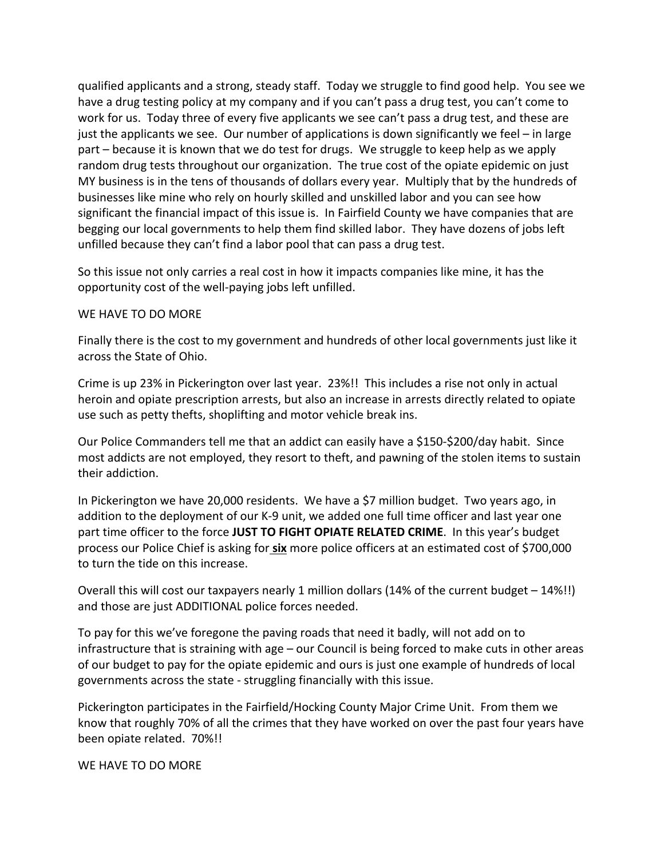qualified applicants and a strong, steady staff. Today we struggle to find good help. You see we have a drug testing policy at my company and if you can't pass a drug test, you can't come to work for us. Today three of every five applicants we see can't pass a drug test, and these are just the applicants we see. Our number of applications is down significantly we feel – in large part – because it is known that we do test for drugs. We struggle to keep help as we apply random drug tests throughout our organization. The true cost of the opiate epidemic on just MY business is in the tens of thousands of dollars every year. Multiply that by the hundreds of businesses like mine who rely on hourly skilled and unskilled labor and you can see how significant the financial impact of this issue is. In Fairfield County we have companies that are begging our local governments to help them find skilled labor. They have dozens of jobs left unfilled because they can't find a labor pool that can pass a drug test.

So this issue not only carries a real cost in how it impacts companies like mine, it has the opportunity cost of the well-paying jobs left unfilled.

## WE HAVE TO DO MORE

Finally there is the cost to my government and hundreds of other local governments just like it across the State of Ohio.

Crime is up 23% in Pickerington over last year. 23%!! This includes a rise not only in actual heroin and opiate prescription arrests, but also an increase in arrests directly related to opiate use such as petty thefts, shoplifting and motor vehicle break ins.

Our Police Commanders tell me that an addict can easily have a \$150-\$200/day habit. Since most addicts are not employed, they resort to theft, and pawning of the stolen items to sustain their addiction.

In Pickerington we have 20,000 residents. We have a \$7 million budget. Two years ago, in addition to the deployment of our K-9 unit, we added one full time officer and last year one part time officer to the force **JUST TO FIGHT OPIATE RELATED CRIME**. In this year's budget process our Police Chief is asking for **six** more police officers at an estimated cost of \$700,000 to turn the tide on this increase.

Overall this will cost our taxpayers nearly 1 million dollars (14% of the current budget  $-14\%$ !!) and those are just ADDITIONAL police forces needed.

To pay for this we've foregone the paving roads that need it badly, will not add on to infrastructure that is straining with  $age - our Council$  is being forced to make cuts in other areas of our budget to pay for the opiate epidemic and ours is just one example of hundreds of local governments across the state - struggling financially with this issue.

Pickerington participates in the Fairfield/Hocking County Major Crime Unit. From them we know that roughly 70% of all the crimes that they have worked on over the past four years have been opiate related. 70%!!

WE HAVE TO DO MORE